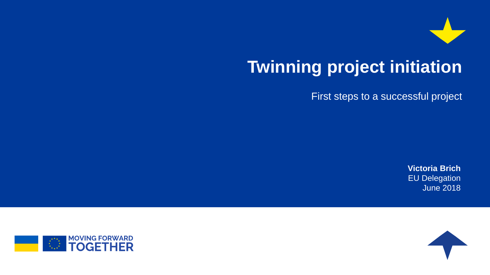

# **Twinning project initiation**

First steps to a successful project

**Victoria Brich** EU Delegation June 2018



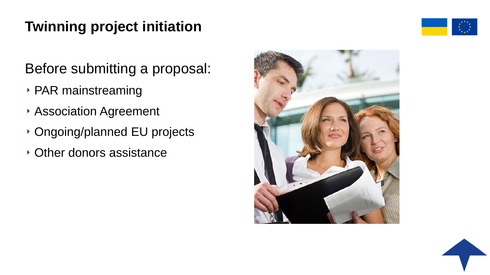# **Twinning project initiation**

Before submitting a proposal:

- ‣ PAR mainstreaming
- ‣ Association Agreement
- ‣ Ongoing/planned EU projects
- ‣ Other donors assistance





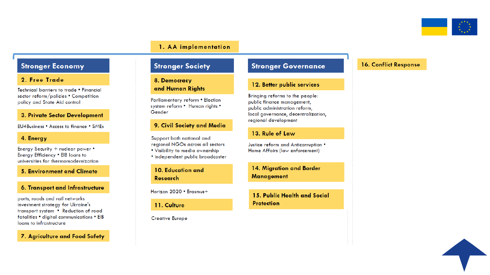

#### 1. AA implementation

### **Stronger Economy**

#### 2. Free Trade

Technical barriers to trade . Financial sector reform/policies • Competition policy and State Aid control

#### 3. Private Sector Development

EU4Business • Access to finance • SMEs

#### 4. Energy

Energy Security + nuclear power • Energy Efficiency . EIB loans to universities for thermomodernization

**5. Environment and Climate** 

#### 6. Transport and Infrastructure

ports, roads and rail networks investment strategy for Ukraine's transport system • Reduction of road fatalities • digital communications • EIB loans to infrastructure

#### 7. Agriculture and Food Safety

### **Stronger Society**

#### 8. Democracy and Human Rights

Parliamentary reform • Election system reform • Human rights • Gender

#### 9. Civil Society and Media

Support both national and regional NGOs across all sectors

- . Visibility to media ownership
- · independent public broadcaster

10. Education and **Research** 

Horizon 2020 • Erasmus+

11. Culture

**Creative Europe** 

### **Stronger Governance**

#### 12. Better public services

Bringing reforms to the people: public finance management, public administration reform, local governance, decentralization, regional development

#### 13. Rule of Law

Justice reform and Anticorruption • Home Affairs (law enforcement)

14. Migration and Border **Management** 

15. Public Health and Social **Protection** 

#### **16. Conflict Response**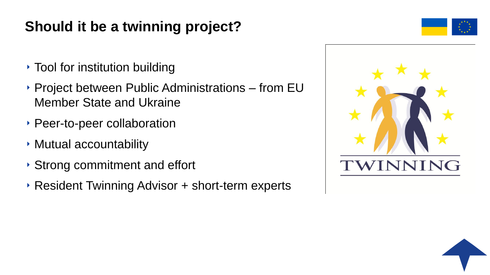## **Should it be a twinning project?**

- ‣ Tool for institution building
- ‣ Project between Public Administrations from EU Member State and Ukraine
- ‣ Peer-to-peer collaboration
- ‣ Mutual accountability
- ‣ Strong commitment and effort
- ‣ Resident Twinning Advisor + short-term experts





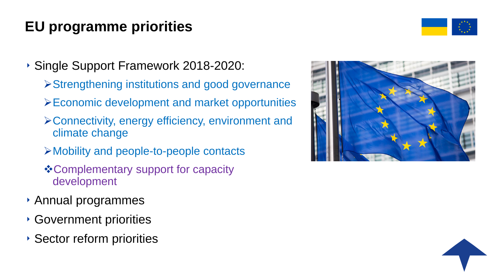## **EU programme priorities**



‣ Single Support Framework 2018-2020:

- Strengthening institutions and good governance
- Economic development and market opportunities
- Connectivity, energy efficiency, environment and climate change
- Mobility and people-to-people contacts
- **\* Complementary support for capacity** development
- ‣ Annual programmes
- ‣ Government priorities
- ‣ Sector reform priorities



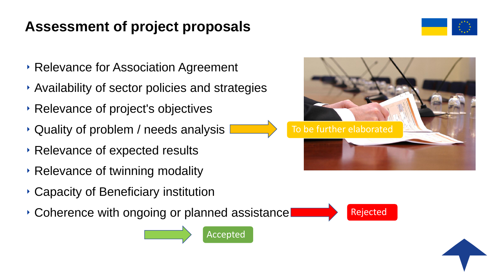### **Assessment of project proposals**



- ‣ Relevance for Association Agreement
- ‣ Availability of sector policies and strategies
- ‣ Relevance of project's objectives
- ‣ Quality of problem / needs analysis
- ‣ Relevance of expected results
- ‣ Relevance of twinning modality
- ‣ Capacity of Beneficiary institution
- ‣ Coherence with ongoing or planned assistance







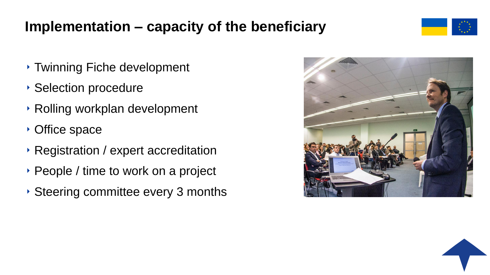### **Implementation – capacity of the beneficiary**



- ‣ Twinning Fiche development
- ‣ Selection procedure
- ‣ Rolling workplan development
- ‣ Office space
- ‣ Registration / expert accreditation
- ‣ People / time to work on a project
- ‣ Steering committee every 3 months